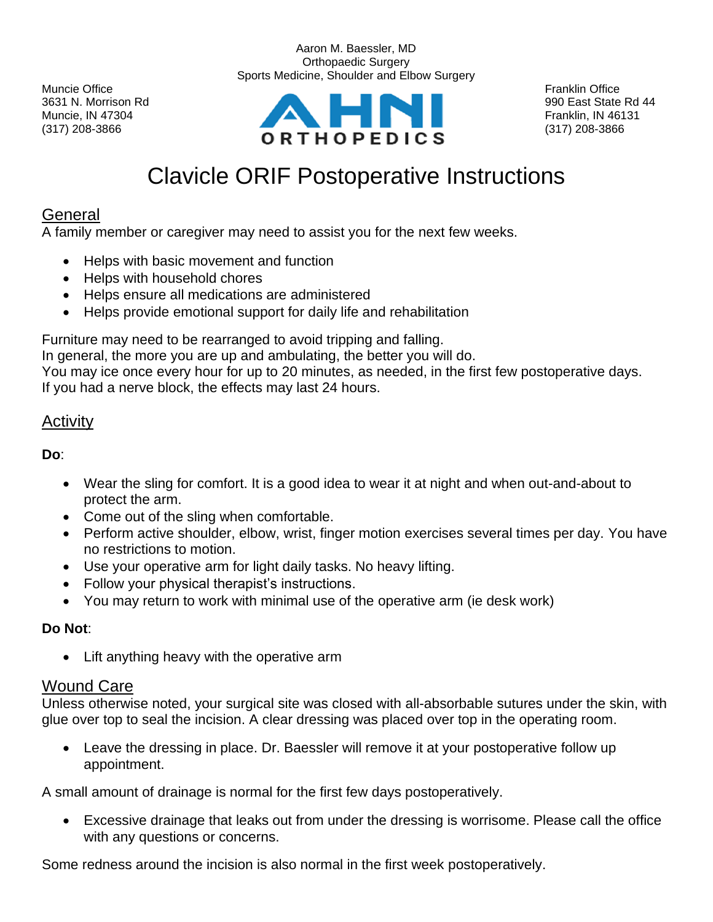$(317)$  208-3866 (317) 208-3866



Aaron M. Baessler, MD

# Clavicle ORIF Postoperative Instructions

## General

A family member or caregiver may need to assist you for the next few weeks.

- Helps with basic movement and function
- Helps with household chores
- Helps ensure all medications are administered
- Helps provide emotional support for daily life and rehabilitation

Furniture may need to be rearranged to avoid tripping and falling.

In general, the more you are up and ambulating, the better you will do.

You may ice once every hour for up to 20 minutes, as needed, in the first few postoperative days. If you had a nerve block, the effects may last 24 hours.

#### Activity

**Do**:

- Wear the sling for comfort. It is a good idea to wear it at night and when out-and-about to protect the arm.
- Come out of the sling when comfortable.
- Perform active shoulder, elbow, wrist, finger motion exercises several times per day. You have no restrictions to motion.
- Use your operative arm for light daily tasks. No heavy lifting.
- Follow your physical therapist's instructions.
- You may return to work with minimal use of the operative arm (ie desk work)

#### **Do Not**:

• Lift anything heavy with the operative arm

#### Wound Care

Unless otherwise noted, your surgical site was closed with all-absorbable sutures under the skin, with glue over top to seal the incision. A clear dressing was placed over top in the operating room.

• Leave the dressing in place. Dr. Baessler will remove it at your postoperative follow up appointment.

A small amount of drainage is normal for the first few days postoperatively.

• Excessive drainage that leaks out from under the dressing is worrisome. Please call the office with any questions or concerns.

Some redness around the incision is also normal in the first week postoperatively.